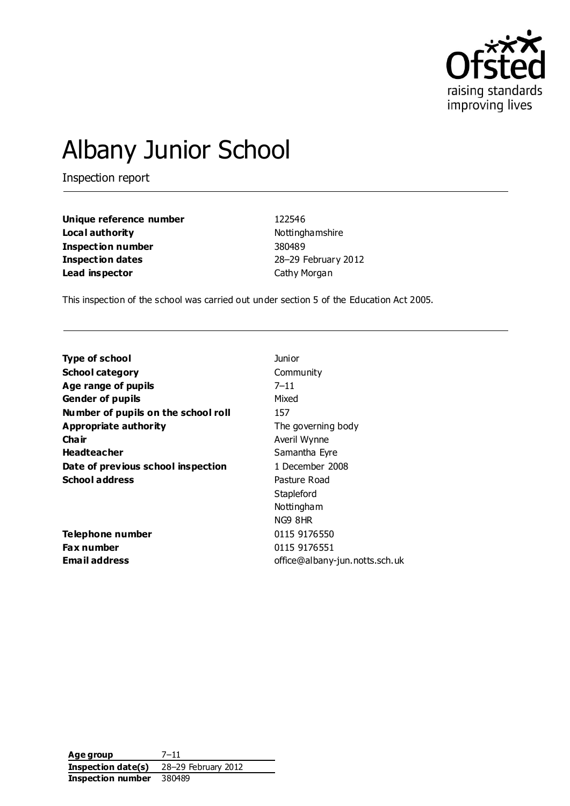

# Albany Junior School

Inspection report

**Unique reference number** 122546 **Local authority Nottinghamshire Inspection number** 380489 **Inspection dates** 28–29 February 2012 **Lead inspector** Cathy Morgan

This inspection of the school was carried out under section 5 of the Education Act 2005.

| <b>Type of school</b>               | Junior                         |
|-------------------------------------|--------------------------------|
| <b>School category</b>              | Community                      |
| Age range of pupils                 | $7 - 11$                       |
| <b>Gender of pupils</b>             | Mixed                          |
| Number of pupils on the school roll | 157                            |
| <b>Appropriate authority</b>        | The governing body             |
| Cha ir                              | Averil Wynne                   |
| <b>Headteacher</b>                  | Samantha Eyre                  |
| Date of previous school inspection  | 1 December 2008                |
| <b>School address</b>               | Pasture Road                   |
|                                     | Stapleford                     |
|                                     | Nottingham                     |
|                                     | NG9 8HR                        |
| Telephone number                    | 0115 9176550                   |
| <b>Fax number</b>                   | 0115 9176551                   |
| Email address                       | office@albany-jun.notts.sch.uk |
|                                     |                                |

**Age group** 7–11 **Inspection date(s)** 28–29 February 2012 **Inspection number** 380489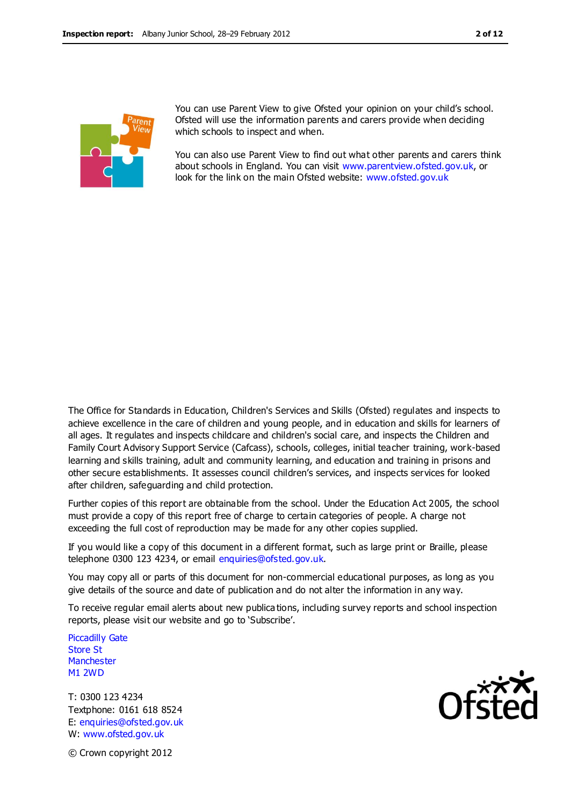

You can use Parent View to give Ofsted your opinion on your child's school. Ofsted will use the information parents and carers provide when deciding which schools to inspect and when.

You can also use Parent View to find out what other parents and carers think about schools in England. You can visit [www.parentview.ofsted.gov.uk,](http://www.parentview.ofsted.gov.uk/) or look for the link on the main Ofsted website: [www.ofsted.gov.uk](http://www.ofsted.gov.uk/)

The Office for Standards in Education, Children's Services and Skills (Ofsted) regulates and inspects to achieve excellence in the care of children and young people, and in education and skills for learners of all ages. It regulates and inspects childcare and children's social care, and inspects the Children and Family Court Advisory Support Service (Cafcass), schools, colleges, initial teacher training, work-based learning and skills training, adult and community learning, and education and training in prisons and other secure establishments. It assesses council children's services, and inspects services for looked after children, safeguarding and child protection.

Further copies of this report are obtainable from the school. Under the Education Act 2005, the school must provide a copy of this report free of charge to certain categories of people. A charge not exceeding the full cost of reproduction may be made for any other copies supplied.

If you would like a copy of this document in a different format, such as large print or Braille, please telephone 0300 123 4234, or email enquiries@ofsted.gov.uk.

You may copy all or parts of this document for non-commercial educational purposes, as long as you give details of the source and date of publication and do not alter the information in any way.

To receive regular email alerts about new publica tions, including survey reports and school inspection reports, please visit our website and go to 'Subscribe'.

Piccadilly Gate Store St **Manchester** M1 2WD

T: 0300 123 4234 Textphone: 0161 618 8524 E: enquiries@ofsted.gov.uk W: www.ofsted.gov.uk



© Crown copyright 2012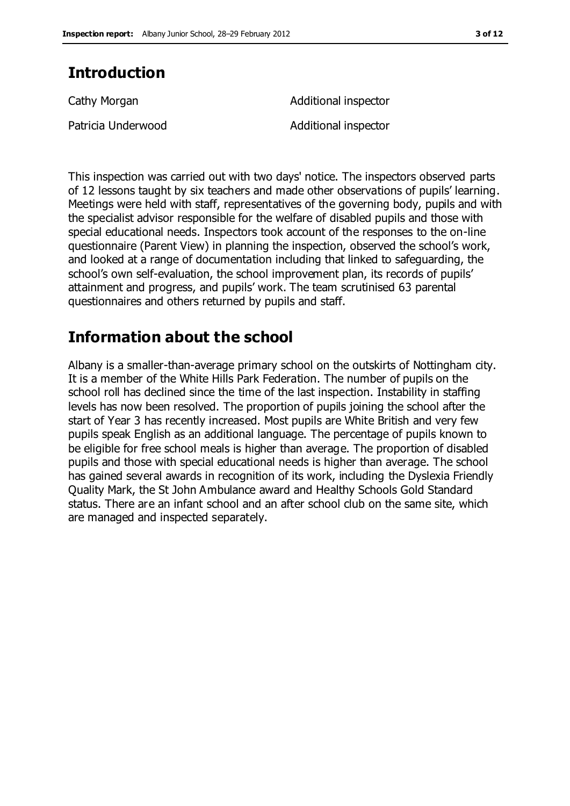# **Introduction**

| Cathy Morgan       | Additional inspector |  |  |
|--------------------|----------------------|--|--|
| Patricia Underwood | Additional inspector |  |  |

This inspection was carried out with two days' notice. The inspectors observed parts of 12 lessons taught by six teachers and made other observations of pupils' learning. Meetings were held with staff, representatives of the governing body, pupils and with the specialist advisor responsible for the welfare of disabled pupils and those with special educational needs. Inspectors took account of the responses to the on-line questionnaire (Parent View) in planning the inspection, observed the school's work, and looked at a range of documentation including that linked to safeguarding, the school's own self-evaluation, the school improvement plan, its records of pupils' attainment and progress, and pupils' work. The team scrutinised 63 parental questionnaires and others returned by pupils and staff.

# **Information about the school**

Albany is a smaller-than-average primary school on the outskirts of Nottingham city. It is a member of the White Hills Park Federation. The number of pupils on the school roll has declined since the time of the last inspection. Instability in staffing levels has now been resolved. The proportion of pupils joining the school after the start of Year 3 has recently increased. Most pupils are White British and very few pupils speak English as an additional language. The percentage of pupils known to be eligible for free school meals is higher than average. The proportion of disabled pupils and those with special educational needs is higher than average. The school has gained several awards in recognition of its work, including the Dyslexia Friendly Quality Mark, the St John Ambulance award and Healthy Schools Gold Standard status. There are an infant school and an after school club on the same site, which are managed and inspected separately.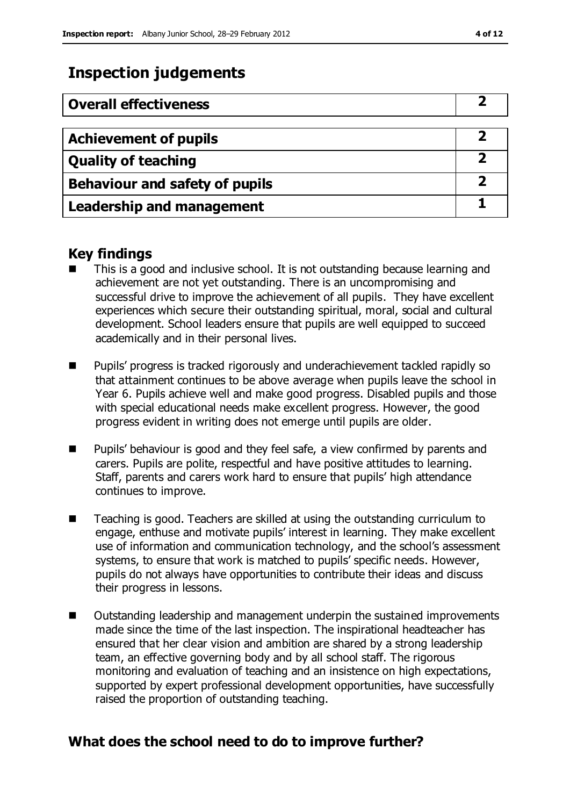# **Inspection judgements**

| <b>Overall effectiveness</b>          |  |
|---------------------------------------|--|
|                                       |  |
| <b>Achievement of pupils</b>          |  |
| <b>Quality of teaching</b>            |  |
| <b>Behaviour and safety of pupils</b> |  |
| <b>Leadership and management</b>      |  |

### **Key findings**

- This is a good and inclusive school. It is not outstanding because learning and achievement are not yet outstanding. There is an uncompromising and successful drive to improve the achievement of all pupils. They have excellent experiences which secure their outstanding spiritual, moral, social and cultural development. School leaders ensure that pupils are well equipped to succeed academically and in their personal lives.
- **Pupils'** progress is tracked rigorously and underachievement tackled rapidly so that attainment continues to be above average when pupils leave the school in Year 6. Pupils achieve well and make good progress. Disabled pupils and those with special educational needs make excellent progress. However, the good progress evident in writing does not emerge until pupils are older.
- **Pupils' behaviour is good and they feel safe, a view confirmed by parents and** carers. Pupils are polite, respectful and have positive attitudes to learning. Staff, parents and carers work hard to ensure that pupils' high attendance continues to improve.
- Teaching is good. Teachers are skilled at using the outstanding curriculum to engage, enthuse and motivate pupils' interest in learning. They make excellent use of information and communication technology, and the school's assessment systems, to ensure that work is matched to pupils' specific needs. However, pupils do not always have opportunities to contribute their ideas and discuss their progress in lessons.
- Outstanding leadership and management underpin the sustained improvements made since the time of the last inspection. The inspirational headteacher has ensured that her clear vision and ambition are shared by a strong leadership team, an effective governing body and by all school staff. The rigorous monitoring and evaluation of teaching and an insistence on high expectations, supported by expert professional development opportunities, have successfully raised the proportion of outstanding teaching.

### **What does the school need to do to improve further?**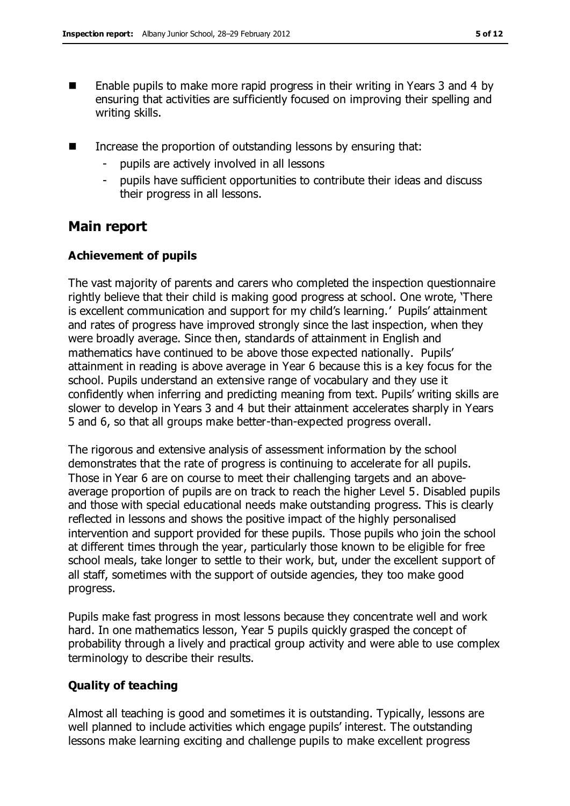- $\blacksquare$  Enable pupils to make more rapid progress in their writing in Years 3 and 4 by ensuring that activities are sufficiently focused on improving their spelling and writing skills.
- Increase the proportion of outstanding lessons by ensuring that:
	- pupils are actively involved in all lessons
	- pupils have sufficient opportunities to contribute their ideas and discuss their progress in all lessons.

## **Main report**

### **Achievement of pupils**

The vast majority of parents and carers who completed the inspection questionnaire rightly believe that their child is making good progress at school. One wrote, 'There is excellent communication and support for my child's learning.' Pupils' attainment and rates of progress have improved strongly since the last inspection, when they were broadly average. Since then, standards of attainment in English and mathematics have continued to be above those expected nationally. Pupils' attainment in reading is above average in Year 6 because this is a key focus for the school. Pupils understand an extensive range of vocabulary and they use it confidently when inferring and predicting meaning from text. Pupils' writing skills are slower to develop in Years 3 and 4 but their attainment accelerates sharply in Years 5 and 6, so that all groups make better-than-expected progress overall.

The rigorous and extensive analysis of assessment information by the school demonstrates that the rate of progress is continuing to accelerate for all pupils. Those in Year 6 are on course to meet their challenging targets and an aboveaverage proportion of pupils are on track to reach the higher Level 5. Disabled pupils and those with special educational needs make outstanding progress. This is clearly reflected in lessons and shows the positive impact of the highly personalised intervention and support provided for these pupils. Those pupils who join the school at different times through the year, particularly those known to be eligible for free school meals, take longer to settle to their work, but, under the excellent support of all staff, sometimes with the support of outside agencies, they too make good progress.

Pupils make fast progress in most lessons because they concentrate well and work hard. In one mathematics lesson, Year 5 pupils quickly grasped the concept of probability through a lively and practical group activity and were able to use complex terminology to describe their results.

### **Quality of teaching**

Almost all teaching is good and sometimes it is outstanding. Typically, lessons are well planned to include activities which engage pupils' interest. The outstanding lessons make learning exciting and challenge pupils to make excellent progress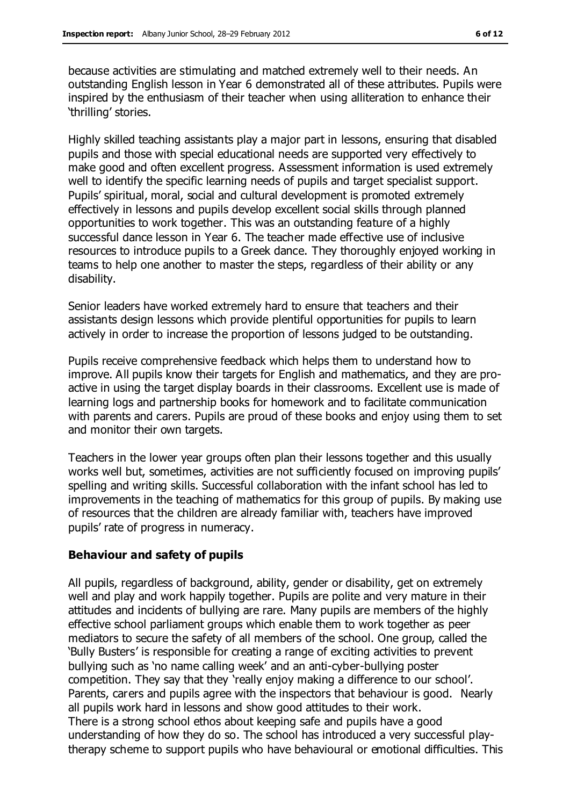because activities are stimulating and matched extremely well to their needs. An outstanding English lesson in Year 6 demonstrated all of these attributes. Pupils were inspired by the enthusiasm of their teacher when using alliteration to enhance their 'thrilling' stories.

Highly skilled teaching assistants play a major part in lessons, ensuring that disabled pupils and those with special educational needs are supported very effectively to make good and often excellent progress. Assessment information is used extremely well to identify the specific learning needs of pupils and target specialist support. Pupils' spiritual, moral, social and cultural development is promoted extremely effectively in lessons and pupils develop excellent social skills through planned opportunities to work together. This was an outstanding feature of a highly successful dance lesson in Year 6. The teacher made effective use of inclusive resources to introduce pupils to a Greek dance. They thoroughly enjoyed working in teams to help one another to master the steps, regardless of their ability or any disability.

Senior leaders have worked extremely hard to ensure that teachers and their assistants design lessons which provide plentiful opportunities for pupils to learn actively in order to increase the proportion of lessons judged to be outstanding.

Pupils receive comprehensive feedback which helps them to understand how to improve. All pupils know their targets for English and mathematics, and they are proactive in using the target display boards in their classrooms. Excellent use is made of learning logs and partnership books for homework and to facilitate communication with parents and carers. Pupils are proud of these books and enjoy using them to set and monitor their own targets.

Teachers in the lower year groups often plan their lessons together and this usually works well but, sometimes, activities are not sufficiently focused on improving pupils' spelling and writing skills. Successful collaboration with the infant school has led to improvements in the teaching of mathematics for this group of pupils. By making use of resources that the children are already familiar with, teachers have improved pupils' rate of progress in numeracy.

#### **Behaviour and safety of pupils**

All pupils, regardless of background, ability, gender or disability, get on extremely well and play and work happily together. Pupils are polite and very mature in their attitudes and incidents of bullying are rare. Many pupils are members of the highly effective school parliament groups which enable them to work together as peer mediators to secure the safety of all members of the school. One group, called the 'Bully Busters' is responsible for creating a range of exciting activities to prevent bullying such as 'no name calling week' and an anti-cyber-bullying poster competition. They say that they 'really enjoy making a difference to our school'. Parents, carers and pupils agree with the inspectors that behaviour is good. Nearly all pupils work hard in lessons and show good attitudes to their work. There is a strong school ethos about keeping safe and pupils have a good understanding of how they do so. The school has introduced a very successful playtherapy scheme to support pupils who have behavioural or emotional difficulties. This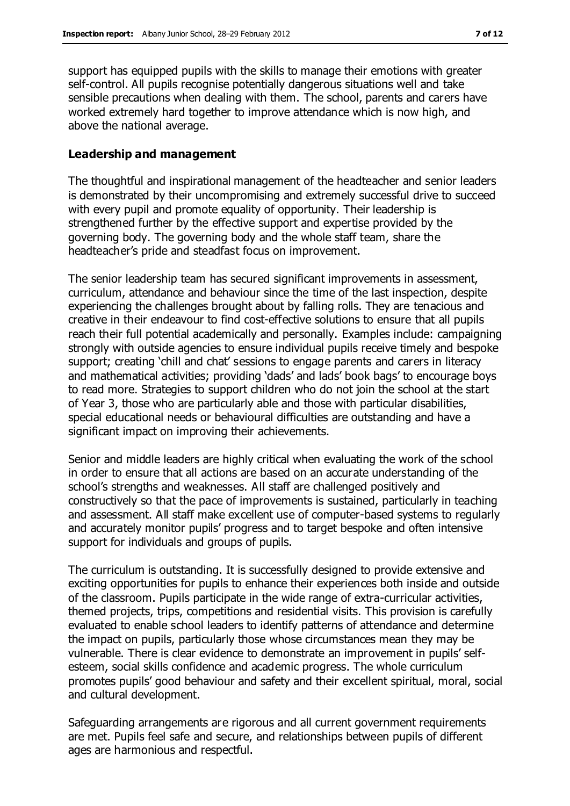support has equipped pupils with the skills to manage their emotions with greater self-control. All pupils recognise potentially dangerous situations well and take sensible precautions when dealing with them. The school, parents and carers have worked extremely hard together to improve attendance which is now high, and above the national average.

#### **Leadership and management**

The thoughtful and inspirational management of the headteacher and senior leaders is demonstrated by their uncompromising and extremely successful drive to succeed with every pupil and promote equality of opportunity. Their leadership is strengthened further by the effective support and expertise provided by the governing body. The governing body and the whole staff team, share the headteacher's pride and steadfast focus on improvement.

The senior leadership team has secured significant improvements in assessment, curriculum, attendance and behaviour since the time of the last inspection, despite experiencing the challenges brought about by falling rolls. They are tenacious and creative in their endeavour to find cost-effective solutions to ensure that all pupils reach their full potential academically and personally. Examples include: campaigning strongly with outside agencies to ensure individual pupils receive timely and bespoke support; creating 'chill and chat' sessions to engage parents and carers in literacy and mathematical activities; providing 'dads' and lads' book bags' to encourage boys to read more. Strategies to support children who do not join the school at the start of Year 3, those who are particularly able and those with particular disabilities, special educational needs or behavioural difficulties are outstanding and have a significant impact on improving their achievements.

Senior and middle leaders are highly critical when evaluating the work of the school in order to ensure that all actions are based on an accurate understanding of the school's strengths and weaknesses. All staff are challenged positively and constructively so that the pace of improvements is sustained, particularly in teaching and assessment. All staff make excellent use of computer-based systems to regularly and accurately monitor pupils' progress and to target bespoke and often intensive support for individuals and groups of pupils.

The curriculum is outstanding. It is successfully designed to provide extensive and exciting opportunities for pupils to enhance their experiences both inside and outside of the classroom. Pupils participate in the wide range of extra-curricular activities, themed projects, trips, competitions and residential visits. This provision is carefully evaluated to enable school leaders to identify patterns of attendance and determine the impact on pupils, particularly those whose circumstances mean they may be vulnerable. There is clear evidence to demonstrate an improvement in pupils' selfesteem, social skills confidence and academic progress. The whole curriculum promotes pupils' good behaviour and safety and their excellent spiritual, moral, social and cultural development.

Safeguarding arrangements are rigorous and all current government requirements are met. Pupils feel safe and secure, and relationships between pupils of different ages are harmonious and respectful.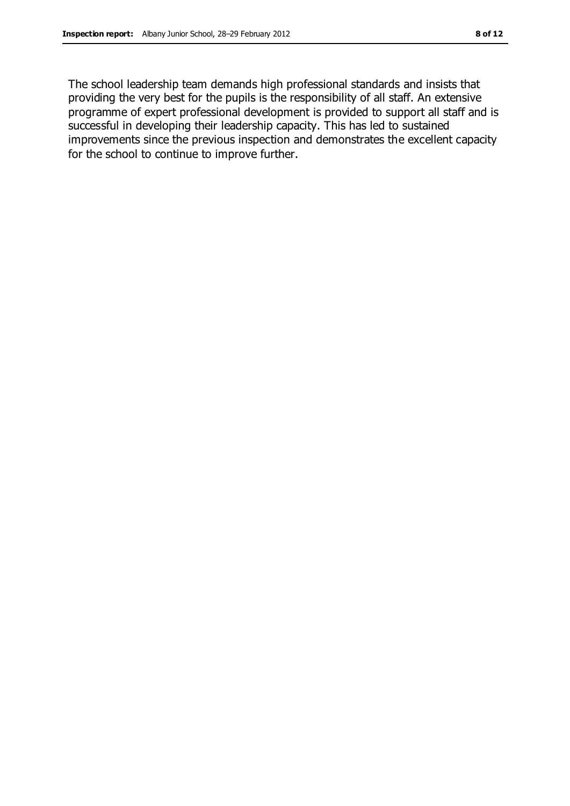The school leadership team demands high professional standards and insists that providing the very best for the pupils is the responsibility of all staff. An extensive programme of expert professional development is provided to support all staff and is successful in developing their leadership capacity. This has led to sustained improvements since the previous inspection and demonstrates the excellent capacity for the school to continue to improve further.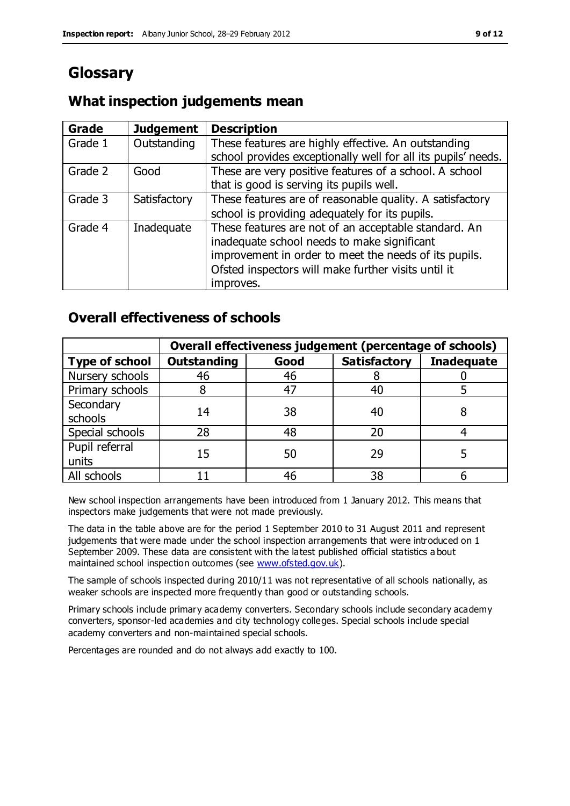# **Glossary**

# **What inspection judgements mean**

| Grade   | <b>Judgement</b> | <b>Description</b>                                                                                                                                                                                                               |
|---------|------------------|----------------------------------------------------------------------------------------------------------------------------------------------------------------------------------------------------------------------------------|
| Grade 1 | Outstanding      | These features are highly effective. An outstanding<br>school provides exceptionally well for all its pupils' needs.                                                                                                             |
| Grade 2 | Good             | These are very positive features of a school. A school<br>that is good is serving its pupils well.                                                                                                                               |
| Grade 3 | Satisfactory     | These features are of reasonable quality. A satisfactory<br>school is providing adequately for its pupils.                                                                                                                       |
| Grade 4 | Inadequate       | These features are not of an acceptable standard. An<br>inadequate school needs to make significant<br>improvement in order to meet the needs of its pupils.<br>Ofsted inspectors will make further visits until it<br>improves. |

# **Overall effectiveness of schools**

|                         | Overall effectiveness judgement (percentage of schools) |      |                     |                   |
|-------------------------|---------------------------------------------------------|------|---------------------|-------------------|
| <b>Type of school</b>   | <b>Outstanding</b>                                      | Good | <b>Satisfactory</b> | <b>Inadequate</b> |
| Nursery schools         | 46                                                      | 46   |                     |                   |
| Primary schools         |                                                         | 47   | 40                  |                   |
| Secondary<br>schools    | 14                                                      | 38   | 40                  |                   |
| Special schools         | 28                                                      | 48   | 20                  |                   |
| Pupil referral<br>units | 15                                                      | 50   | 29                  |                   |
| All schools             |                                                         | 46   | 38                  |                   |

New school inspection arrangements have been introduced from 1 January 2012. This means that inspectors make judgements that were not made previously.

The data in the table above are for the period 1 September 2010 to 31 August 2011 and represent judgements that were made under the school inspection arrangements that were introduced on 1 September 2009. These data are consistent with the latest published official statistics a bout maintained school inspection outcomes (see [www.ofsted.gov.uk\)](http://www.ofsted.gov.uk/).

The sample of schools inspected during 2010/11 was not representative of all schools nationally, as weaker schools are inspected more frequently than good or outstanding schools.

Primary schools include primary academy converters. Secondary schools include secondary academy converters, sponsor-led academies and city technology colleges. Special schools include special academy converters and non-maintained special schools.

Percentages are rounded and do not always add exactly to 100.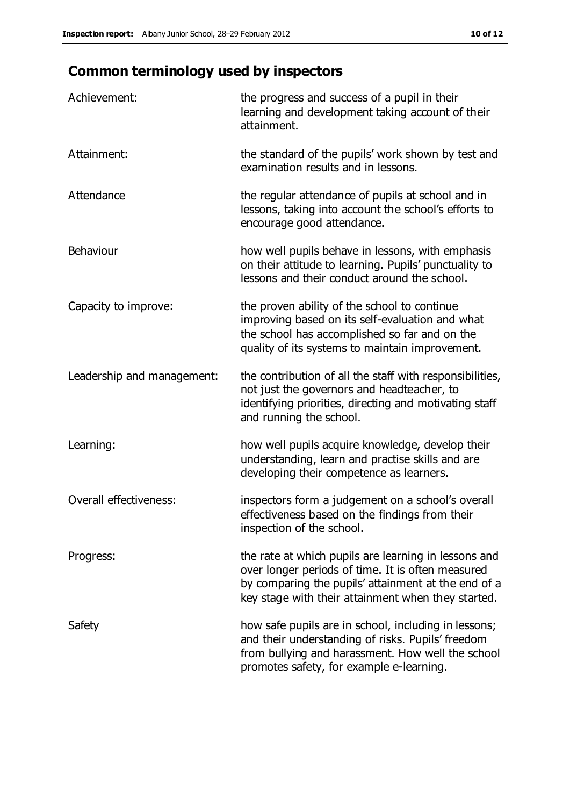# **Common terminology used by inspectors**

| Achievement:               | the progress and success of a pupil in their<br>learning and development taking account of their<br>attainment.                                                                                                        |
|----------------------------|------------------------------------------------------------------------------------------------------------------------------------------------------------------------------------------------------------------------|
| Attainment:                | the standard of the pupils' work shown by test and<br>examination results and in lessons.                                                                                                                              |
| Attendance                 | the regular attendance of pupils at school and in<br>lessons, taking into account the school's efforts to<br>encourage good attendance.                                                                                |
| <b>Behaviour</b>           | how well pupils behave in lessons, with emphasis<br>on their attitude to learning. Pupils' punctuality to<br>lessons and their conduct around the school.                                                              |
| Capacity to improve:       | the proven ability of the school to continue<br>improving based on its self-evaluation and what<br>the school has accomplished so far and on the<br>quality of its systems to maintain improvement.                    |
| Leadership and management: | the contribution of all the staff with responsibilities,<br>not just the governors and headteacher, to<br>identifying priorities, directing and motivating staff<br>and running the school.                            |
| Learning:                  | how well pupils acquire knowledge, develop their<br>understanding, learn and practise skills and are<br>developing their competence as learners.                                                                       |
| Overall effectiveness:     | inspectors form a judgement on a school's overall<br>effectiveness based on the findings from their<br>inspection of the school.                                                                                       |
| Progress:                  | the rate at which pupils are learning in lessons and<br>over longer periods of time. It is often measured<br>by comparing the pupils' attainment at the end of a<br>key stage with their attainment when they started. |
| Safety                     | how safe pupils are in school, including in lessons;<br>and their understanding of risks. Pupils' freedom<br>from bullying and harassment. How well the school<br>promotes safety, for example e-learning.             |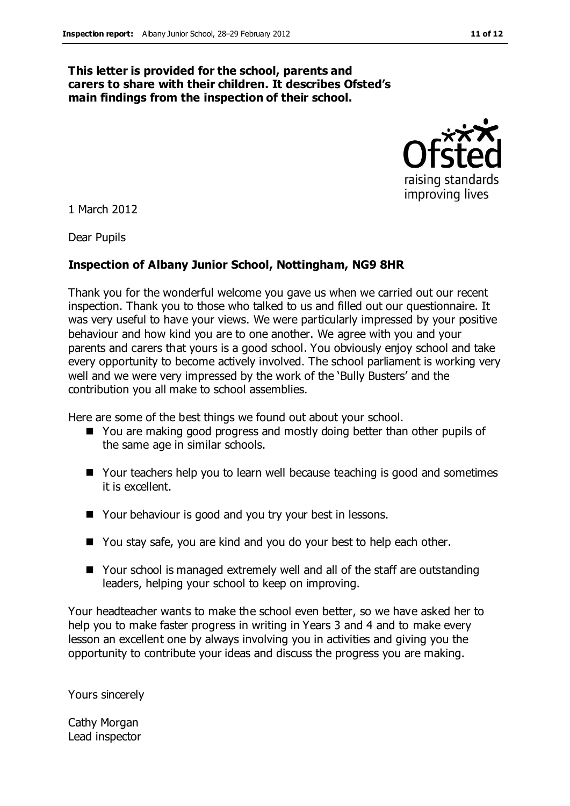#### **This letter is provided for the school, parents and carers to share with their children. It describes Ofsted's main findings from the inspection of their school.**



1 March 2012

Dear Pupils

### **Inspection of Albany Junior School, Nottingham, NG9 8HR**

Thank you for the wonderful welcome you gave us when we carried out our recent inspection. Thank you to those who talked to us and filled out our questionnaire. It was very useful to have your views. We were particularly impressed by your positive behaviour and how kind you are to one another. We agree with you and your parents and carers that yours is a good school. You obviously enjoy school and take every opportunity to become actively involved. The school parliament is working very well and we were very impressed by the work of the 'Bully Busters' and the contribution you all make to school assemblies.

Here are some of the best things we found out about your school.

- You are making good progress and mostly doing better than other pupils of the same age in similar schools.
- Your teachers help you to learn well because teaching is good and sometimes it is excellent.
- Your behaviour is good and you try your best in lessons.
- You stay safe, you are kind and you do your best to help each other.
- Your school is managed extremely well and all of the staff are outstanding leaders, helping your school to keep on improving.

Your headteacher wants to make the school even better, so we have asked her to help you to make faster progress in writing in Years 3 and 4 and to make every lesson an excellent one by always involving you in activities and giving you the opportunity to contribute your ideas and discuss the progress you are making.

Yours sincerely

Cathy Morgan Lead inspector